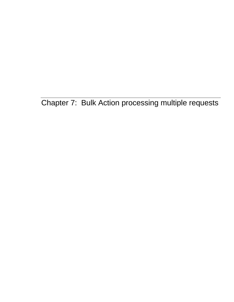Chapter 7: Bulk Action processing multiple requests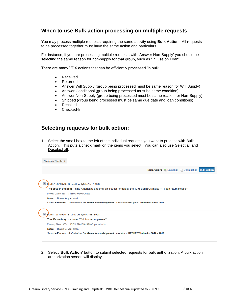## **When to use Bulk action processing on multiple requests**

You may process multiple requests requiring the same activity using **Bulk Action**. All requests to be processed together must have the same action and particulars.

For instance, if you are processing multiple requests with 'Answer Non-Supply' you should be selecting the same reason for non-supply for that group, such as "In Use on Loan".

There are many VDX actions that can be efficiently processed 'in bulk'.

- Received
- Returned
- Answer Will Supply (group being processed must be same reason for Will Supply)
- Answer Conditional (group being processed must be same condition)
- Answer Non-Supply (group being processed must be same reason for Non-Supply)
- Shipped (group being processed must be same due date and loan conditions)
- Recalled
- Checked-In

## **Selecting requests for bulk action:**

1. Select the small box to the left of the individual requests you want to process with Bulk Action. This puts a check mark on the items you select. You can also use Select all and Deselect all.

| Number of Results: 5                                                                                                     |
|--------------------------------------------------------------------------------------------------------------------------|
| <b>Bulk Action: B</b> Select all <b>Deselect all Bulk Action</b>                                                         |
|                                                                                                                          |
| ✔<br>Perth: 15878979 / BruceCountyMN: 15878978                                                                           |
| The boys in the boat - nine Americans and their epic quest for gold at the 1936 Berlin Olympics **11 Jan return please** |
| Brown, Daniel 1951-   ISBN: 9780670025817                                                                                |
| <b>Notes:</b> Thanks for your email.,                                                                                    |
| Status: In Process: Authorisation: For Manual Acknowledgement Last Action: REQUEST-Indication:08 Nov 2017                |
|                                                                                                                          |
| $\checkmark$<br><b>Perth: 15878960 / BruceCountyMN: 15878958</b>                                                         |
| The life we bury - a novel **20 Jan return please**                                                                      |
| Eskens, Allen 1963-.   ISBN: 9781616149987 (paperback)                                                                   |
| Notes: Thanks for your email.,                                                                                           |
| Status: In Process: Authorisation: For Manual Acknowledgement Last Action: REQUEST-Indication:08 Nov 2017                |
|                                                                                                                          |

2. Select '**Bulk Action'** button to submit selected requests for bulk authorization. A bulk action authorization screen will display.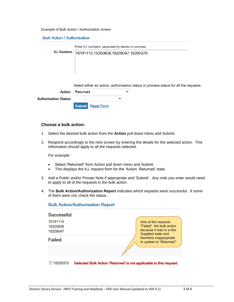*Example of Bulk Action / Authorization screen*

**Bulk Action / Authorisation** 

|  | <b>ILL Numbers</b> | Enter ILL numbers, separated by blanks or commas                        |  |  |  |
|--|--------------------|-------------------------------------------------------------------------|--|--|--|
|  |                    | 15191110,15200606,15209047,15205370                                     |  |  |  |
|  |                    |                                                                         |  |  |  |
|  |                    |                                                                         |  |  |  |
|  |                    |                                                                         |  |  |  |
|  |                    |                                                                         |  |  |  |
|  |                    |                                                                         |  |  |  |
|  |                    |                                                                         |  |  |  |
|  |                    |                                                                         |  |  |  |
|  |                    | Select either an action, authorisation status or process status for all |  |  |  |
|  |                    |                                                                         |  |  |  |
|  | Action             | Returned                                                                |  |  |  |
|  |                    |                                                                         |  |  |  |

|                             | <b>Action Returned</b> |                          |  |  |
|-----------------------------|------------------------|--------------------------|--|--|
| <b>Authorisation Status</b> |                        |                          |  |  |
|                             |                        | <b>Submit</b> Reset Form |  |  |

**Bulk Action/Authorisation Report** 

## **Choose a bulk action:**

- 1. Select the desired bulk action from the **Action** pull down menu and Submit.
- 2. Respond accordingly to the next screen by entering the details for the selected action. This information should apply to all the requests selected.

*For example*:

- Select 'Returned" from Action pull down menu and Submit.
- This displays the ILL request form for the 'Action: Returned' state.
- 3. Add a Public and/or Private Note if appropriate and 'Submit'. Any note you enter would need to apply to all of the requests in the bulk action.
- 4. The **Bulk Action/Authorization Report** indicates which requests were successful. If some of them were not, check the status.

| Successful                       |                                                                                                  |
|----------------------------------|--------------------------------------------------------------------------------------------------|
| 15191110<br>15200606<br>15209047 | One of the requests<br>"Failed" the bulk action<br>because it was in a Not<br>Supplied state and |
| <b>Failed</b>                    | therefore inappropriate<br>to update to "Returned"                                               |
|                                  |                                                                                                  |
| 15205370                         | Selected Bulk Action 'Returned' is not applicable to this request.                               |

the requests